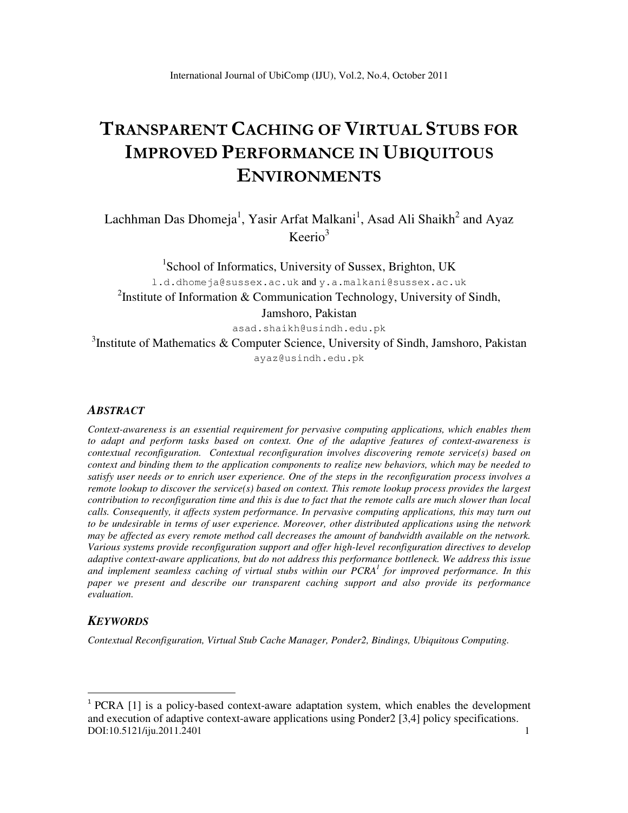# TRANSPARENT CACHING OF VIRTUAL STUBS FOR IMPROVED PERFORMANCE IN UBIQUITOUS ENVIRONMENTS

Lachhman Das Dhomeja<sup>1</sup>, Yasir Arfat Malkani<sup>1</sup>, Asad Ali Shaikh<sup>2</sup> and Ayaz  $Keerio<sup>3</sup>$ 

<sup>1</sup>School of Informatics, University of Sussex, Brighton, UK l.d.dhomeja@sussex.ac.uk and y.a.malkani@sussex.ac.uk <sup>2</sup>Institute of Information & Communication Technology, University of Sindh, Jamshoro, Pakistan asad.shaikh@usindh.edu.pk

<sup>3</sup>Institute of Mathematics & Computer Science, University of Sindh, Jamshoro, Pakistan ayaz@usindh.edu.pk

### *ABSTRACT*

*Context-awareness is an essential requirement for pervasive computing applications, which enables them to adapt and perform tasks based on context. One of the adaptive features of context-awareness is contextual reconfiguration. Contextual reconfiguration involves discovering remote service(s) based on context and binding them to the application components to realize new behaviors, which may be needed to satisfy user needs or to enrich user experience. One of the steps in the reconfiguration process involves a remote lookup to discover the service(s) based on context. This remote lookup process provides the largest contribution to reconfiguration time and this is due to fact that the remote calls are much slower than local calls. Consequently, it affects system performance. In pervasive computing applications, this may turn out to be undesirable in terms of user experience. Moreover, other distributed applications using the network may be affected as every remote method call decreases the amount of bandwidth available on the network. Various systems provide reconfiguration support and offer high-level reconfiguration directives to develop adaptive context-aware applications, but do not address this performance bottleneck. We address this issue and implement seamless caching of virtual stubs within our PCRA<sup>1</sup> for improved performance. In this paper we present and describe our transparent caching support and also provide its performance evaluation.* 

### *KEYWORDS*

l

*Contextual Reconfiguration, Virtual Stub Cache Manager, Ponder2, Bindings, Ubiquitous Computing.* 

DOI:10.5121/iju.2011.2401 1 <sup>1</sup> PCRA [1] is a policy-based context-aware adaptation system, which enables the development and execution of adaptive context-aware applications using Ponder2 [3,4] policy specifications.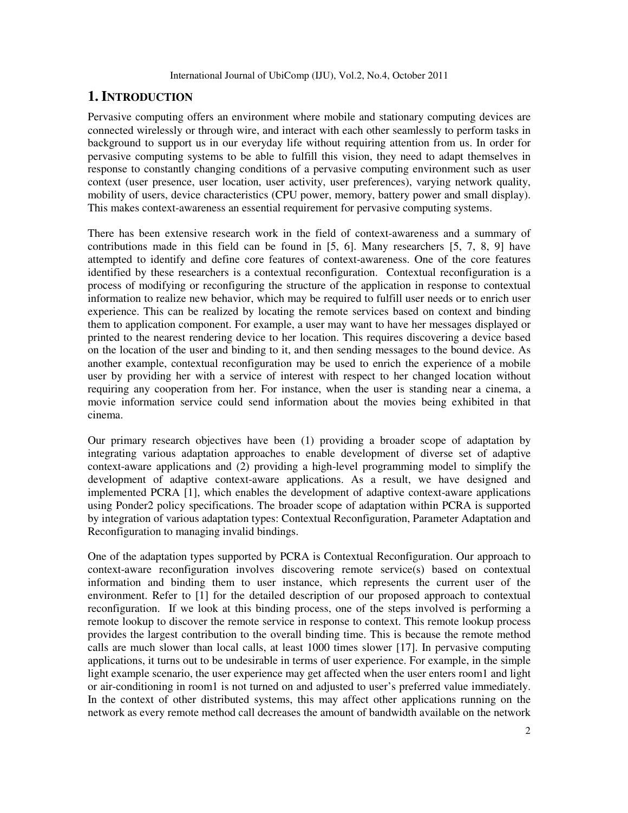# **1. INTRODUCTION**

Pervasive computing offers an environment where mobile and stationary computing devices are connected wirelessly or through wire, and interact with each other seamlessly to perform tasks in background to support us in our everyday life without requiring attention from us. In order for pervasive computing systems to be able to fulfill this vision, they need to adapt themselves in response to constantly changing conditions of a pervasive computing environment such as user context (user presence, user location, user activity, user preferences), varying network quality, mobility of users, device characteristics (CPU power, memory, battery power and small display). This makes context-awareness an essential requirement for pervasive computing systems.

There has been extensive research work in the field of context-awareness and a summary of contributions made in this field can be found in [5, 6]. Many researchers [5, 7, 8, 9] have attempted to identify and define core features of context-awareness. One of the core features identified by these researchers is a contextual reconfiguration. Contextual reconfiguration is a process of modifying or reconfiguring the structure of the application in response to contextual information to realize new behavior, which may be required to fulfill user needs or to enrich user experience. This can be realized by locating the remote services based on context and binding them to application component. For example, a user may want to have her messages displayed or printed to the nearest rendering device to her location. This requires discovering a device based on the location of the user and binding to it, and then sending messages to the bound device. As another example, contextual reconfiguration may be used to enrich the experience of a mobile user by providing her with a service of interest with respect to her changed location without requiring any cooperation from her. For instance, when the user is standing near a cinema, a movie information service could send information about the movies being exhibited in that cinema.

Our primary research objectives have been (1) providing a broader scope of adaptation by integrating various adaptation approaches to enable development of diverse set of adaptive context-aware applications and (2) providing a high-level programming model to simplify the development of adaptive context-aware applications. As a result, we have designed and implemented PCRA [1], which enables the development of adaptive context-aware applications using Ponder2 policy specifications. The broader scope of adaptation within PCRA is supported by integration of various adaptation types: Contextual Reconfiguration, Parameter Adaptation and Reconfiguration to managing invalid bindings.

One of the adaptation types supported by PCRA is Contextual Reconfiguration. Our approach to context-aware reconfiguration involves discovering remote service(s) based on contextual information and binding them to user instance, which represents the current user of the environment. Refer to [1] for the detailed description of our proposed approach to contextual reconfiguration. If we look at this binding process, one of the steps involved is performing a remote lookup to discover the remote service in response to context. This remote lookup process provides the largest contribution to the overall binding time. This is because the remote method calls are much slower than local calls, at least 1000 times slower [17]. In pervasive computing applications, it turns out to be undesirable in terms of user experience. For example, in the simple light example scenario, the user experience may get affected when the user enters room1 and light or air-conditioning in room1 is not turned on and adjusted to user's preferred value immediately. In the context of other distributed systems, this may affect other applications running on the network as every remote method call decreases the amount of bandwidth available on the network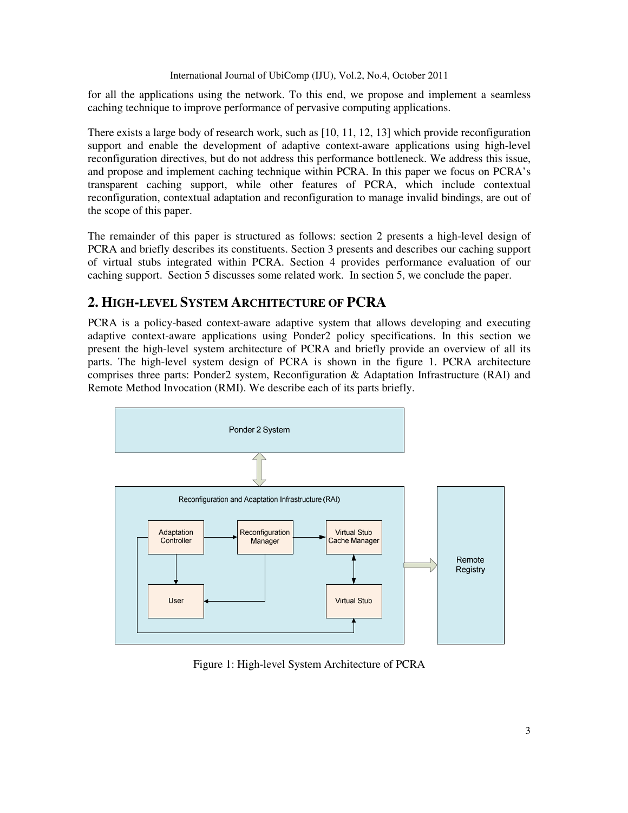for all the applications using the network. To this end, we propose and implement a seamless caching technique to improve performance of pervasive computing applications.

There exists a large body of research work, such as [10, 11, 12, 13] which provide reconfiguration support and enable the development of adaptive context-aware applications using high-level reconfiguration directives, but do not address this performance bottleneck. We address this issue, and propose and implement caching technique within PCRA. In this paper we focus on PCRA's transparent caching support, while other features of PCRA, which include contextual reconfiguration, contextual adaptation and reconfiguration to manage invalid bindings, are out of the scope of this paper.

The remainder of this paper is structured as follows: section 2 presents a high-level design of PCRA and briefly describes its constituents. Section 3 presents and describes our caching support of virtual stubs integrated within PCRA. Section 4 provides performance evaluation of our caching support. Section 5 discusses some related work. In section 5, we conclude the paper.

# **2. HIGH-LEVEL SYSTEM ARCHITECTURE OF PCRA**

PCRA is a policy-based context-aware adaptive system that allows developing and executing adaptive context-aware applications using Ponder2 policy specifications. In this section we present the high-level system architecture of PCRA and briefly provide an overview of all its parts. The high-level system design of PCRA is shown in the figure 1. PCRA architecture comprises three parts: Ponder2 system, Reconfiguration & Adaptation Infrastructure (RAI) and Remote Method Invocation (RMI). We describe each of its parts briefly.



Figure 1: High-level System Architecture of PCRA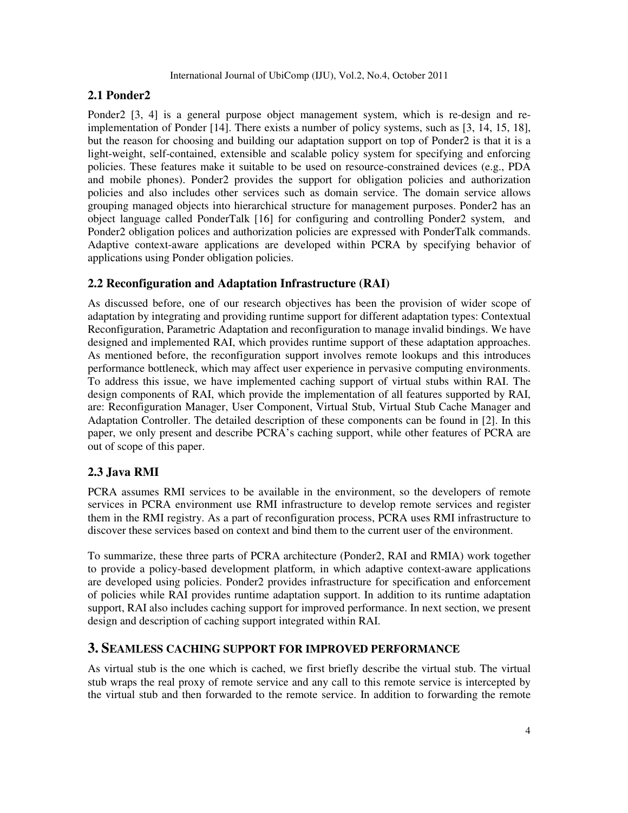# **2.1 Ponder2**

Ponder2 [3, 4] is a general purpose object management system, which is re-design and reimplementation of Ponder [14]. There exists a number of policy systems, such as [3, 14, 15, 18], but the reason for choosing and building our adaptation support on top of Ponder2 is that it is a light-weight, self-contained, extensible and scalable policy system for specifying and enforcing policies. These features make it suitable to be used on resource-constrained devices (e.g., PDA and mobile phones). Ponder2 provides the support for obligation policies and authorization policies and also includes other services such as domain service. The domain service allows grouping managed objects into hierarchical structure for management purposes. Ponder2 has an object language called PonderTalk [16] for configuring and controlling Ponder2 system, and Ponder2 obligation polices and authorization policies are expressed with PonderTalk commands. Adaptive context-aware applications are developed within PCRA by specifying behavior of applications using Ponder obligation policies.

# **2.2 Reconfiguration and Adaptation Infrastructure (RAI)**

As discussed before, one of our research objectives has been the provision of wider scope of adaptation by integrating and providing runtime support for different adaptation types: Contextual Reconfiguration, Parametric Adaptation and reconfiguration to manage invalid bindings. We have designed and implemented RAI, which provides runtime support of these adaptation approaches. As mentioned before, the reconfiguration support involves remote lookups and this introduces performance bottleneck, which may affect user experience in pervasive computing environments. To address this issue, we have implemented caching support of virtual stubs within RAI. The design components of RAI, which provide the implementation of all features supported by RAI, are: Reconfiguration Manager, User Component, Virtual Stub, Virtual Stub Cache Manager and Adaptation Controller. The detailed description of these components can be found in [2]. In this paper, we only present and describe PCRA's caching support, while other features of PCRA are out of scope of this paper.

# **2.3 Java RMI**

PCRA assumes RMI services to be available in the environment, so the developers of remote services in PCRA environment use RMI infrastructure to develop remote services and register them in the RMI registry. As a part of reconfiguration process, PCRA uses RMI infrastructure to discover these services based on context and bind them to the current user of the environment.

To summarize, these three parts of PCRA architecture (Ponder2, RAI and RMIA) work together to provide a policy-based development platform, in which adaptive context-aware applications are developed using policies. Ponder2 provides infrastructure for specification and enforcement of policies while RAI provides runtime adaptation support. In addition to its runtime adaptation support, RAI also includes caching support for improved performance. In next section, we present design and description of caching support integrated within RAI.

# **3. SEAMLESS CACHING SUPPORT FOR IMPROVED PERFORMANCE**

As virtual stub is the one which is cached, we first briefly describe the virtual stub. The virtual stub wraps the real proxy of remote service and any call to this remote service is intercepted by the virtual stub and then forwarded to the remote service. In addition to forwarding the remote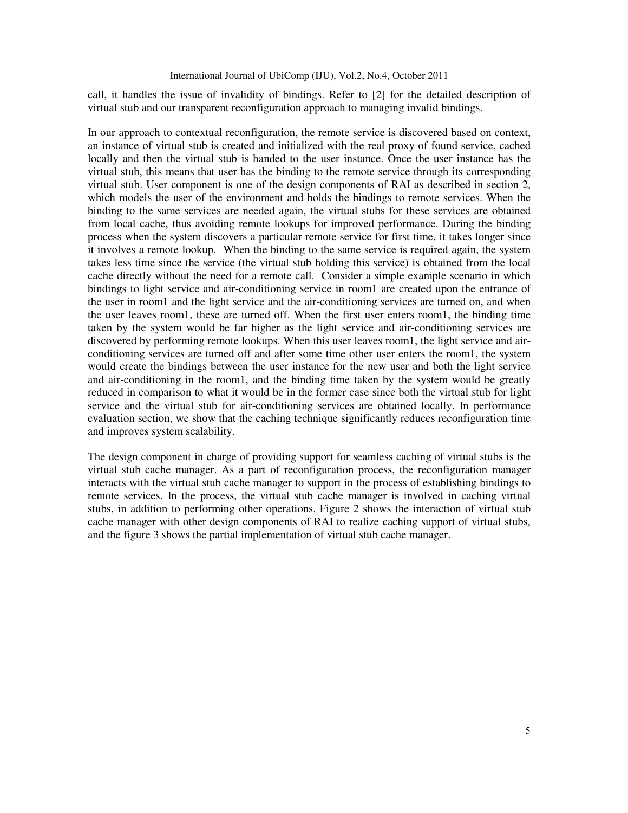call, it handles the issue of invalidity of bindings. Refer to [2] for the detailed description of virtual stub and our transparent reconfiguration approach to managing invalid bindings.

In our approach to contextual reconfiguration, the remote service is discovered based on context, an instance of virtual stub is created and initialized with the real proxy of found service, cached locally and then the virtual stub is handed to the user instance. Once the user instance has the virtual stub, this means that user has the binding to the remote service through its corresponding virtual stub. User component is one of the design components of RAI as described in section 2, which models the user of the environment and holds the bindings to remote services. When the binding to the same services are needed again, the virtual stubs for these services are obtained from local cache, thus avoiding remote lookups for improved performance. During the binding process when the system discovers a particular remote service for first time, it takes longer since it involves a remote lookup. When the binding to the same service is required again, the system takes less time since the service (the virtual stub holding this service) is obtained from the local cache directly without the need for a remote call. Consider a simple example scenario in which bindings to light service and air-conditioning service in room1 are created upon the entrance of the user in room1 and the light service and the air-conditioning services are turned on, and when the user leaves room1, these are turned off. When the first user enters room1, the binding time taken by the system would be far higher as the light service and air-conditioning services are discovered by performing remote lookups. When this user leaves room1, the light service and airconditioning services are turned off and after some time other user enters the room1, the system would create the bindings between the user instance for the new user and both the light service and air-conditioning in the room1, and the binding time taken by the system would be greatly reduced in comparison to what it would be in the former case since both the virtual stub for light service and the virtual stub for air-conditioning services are obtained locally. In performance evaluation section, we show that the caching technique significantly reduces reconfiguration time and improves system scalability.

The design component in charge of providing support for seamless caching of virtual stubs is the virtual stub cache manager. As a part of reconfiguration process, the reconfiguration manager interacts with the virtual stub cache manager to support in the process of establishing bindings to remote services. In the process, the virtual stub cache manager is involved in caching virtual stubs, in addition to performing other operations. Figure 2 shows the interaction of virtual stub cache manager with other design components of RAI to realize caching support of virtual stubs, and the figure 3 shows the partial implementation of virtual stub cache manager.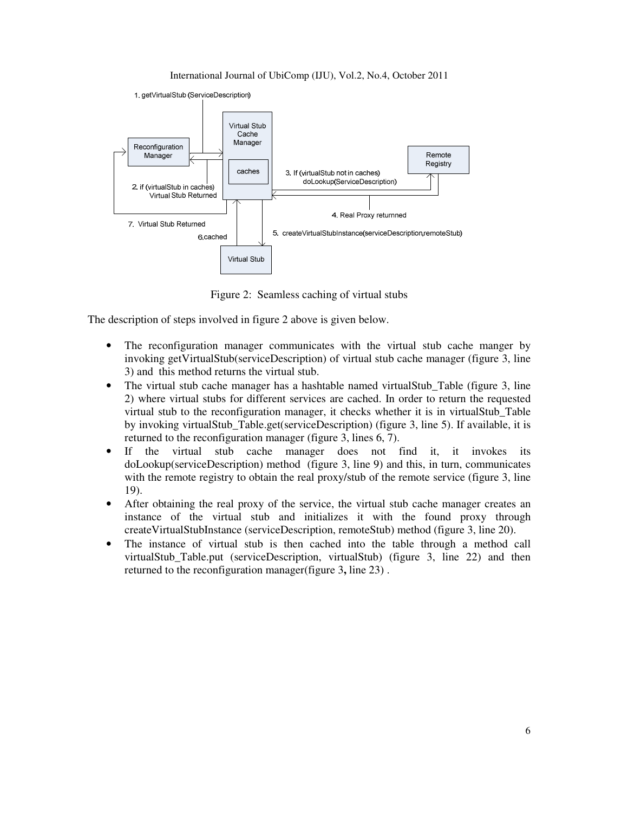

Figure 2: Seamless caching of virtual stubs

The description of steps involved in figure 2 above is given below.

- The reconfiguration manager communicates with the virtual stub cache manger by invoking getVirtualStub(serviceDescription) of virtual stub cache manager (figure 3, line 3) and this method returns the virtual stub.
- The virtual stub cache manager has a hashtable named virtualStub\_Table (figure 3, line 2) where virtual stubs for different services are cached. In order to return the requested virtual stub to the reconfiguration manager, it checks whether it is in virtualStub\_Table by invoking virtualStub\_Table.get(serviceDescription) (figure 3, line 5). If available, it is returned to the reconfiguration manager (figure 3, lines 6, 7).
- If the virtual stub cache manager does not find it, it invokes its doLookup(serviceDescription) method (figure 3, line 9) and this, in turn, communicates with the remote registry to obtain the real proxy/stub of the remote service (figure 3, line 19).
- After obtaining the real proxy of the service, the virtual stub cache manager creates an instance of the virtual stub and initializes it with the found proxy through createVirtualStubInstance (serviceDescription, remoteStub) method (figure 3, line 20).
- The instance of virtual stub is then cached into the table through a method call virtualStub\_Table.put (serviceDescription, virtualStub) (figure 3, line 22) and then returned to the reconfiguration manager(figure 3**,** line 23) .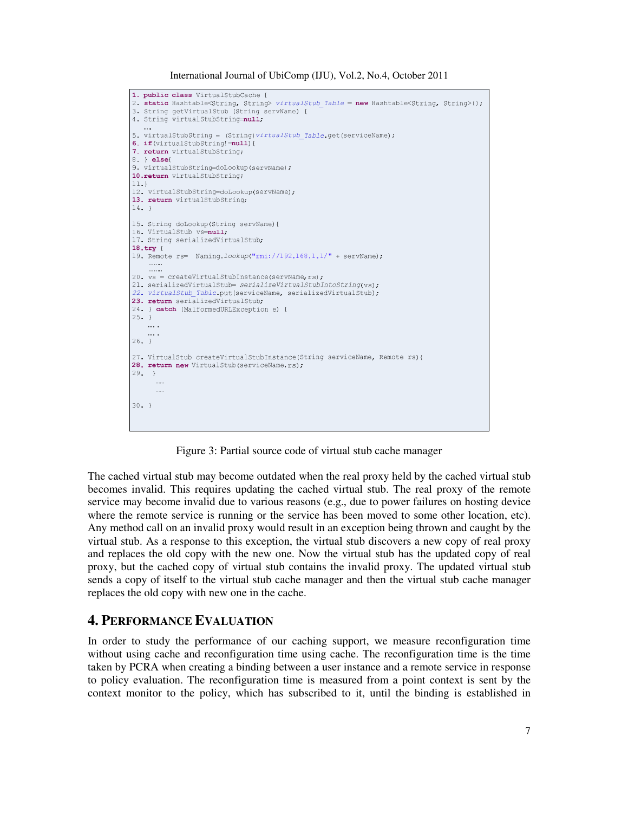```
1. public class VirtualStubCache {
2. static Hashtable<String, String> virtualStub_Table = new Hashtable<String, String>();
3. String getVirtualStub (String servName) {
4. String virtualStubString=null;
5. virtualStubString = (String) virtualStub Table.get (serviceName);
6. if(virtualStubString!=null){
7. return virtualStubString;
8. } else{
9. virtualStubString=doLookup(servName);
10.return virtualStubString;
11.}
12. virtualStubString=doLookup(servName);
13. return virtualStubString;
14.}
15. String doLookup (String servName) {
16. VirtualStub vs=null;
17. String serializedVirtualStub;
18.try \{19. Remote rs= Naming. lookup("rmi://192.168.1.1/" + servName);
20. vs = createVirtualStubInstance(servName, rs);
21. serializedVirtualStub= serializeVirtualStubIntoString(vs);
22. virtualStub Table.put(serviceName, serializedVirtualStub);
23. return serializedVirtualStub;
24. } catch (MalformedURLException e) {
25. }
   \sim 100 .
    \ldots .
26.}
27. VirtualStub createVirtualStubInstance(String serviceName, Remote rs) {
28. return new VirtualStub(serviceName, rs);
29. }
30 - 3
```
Figure 3: Partial source code of virtual stub cache manager

The cached virtual stub may become outdated when the real proxy held by the cached virtual stub becomes invalid. This requires updating the cached virtual stub. The real proxy of the remote service may become invalid due to various reasons (e.g., due to power failures on hosting device where the remote service is running or the service has been moved to some other location, etc). Any method call on an invalid proxy would result in an exception being thrown and caught by the virtual stub. As a response to this exception, the virtual stub discovers a new copy of real proxy and replaces the old copy with the new one. Now the virtual stub has the updated copy of real proxy, but the cached copy of virtual stub contains the invalid proxy. The updated virtual stub sends a copy of itself to the virtual stub cache manager and then the virtual stub cache manager replaces the old copy with new one in the cache.

# **4. PERFORMANCE EVALUATION**

In order to study the performance of our caching support, we measure reconfiguration time without using cache and reconfiguration time using cache. The reconfiguration time is the time taken by PCRA when creating a binding between a user instance and a remote service in response to policy evaluation. The reconfiguration time is measured from a point context is sent by the context monitor to the policy, which has subscribed to it, until the binding is established in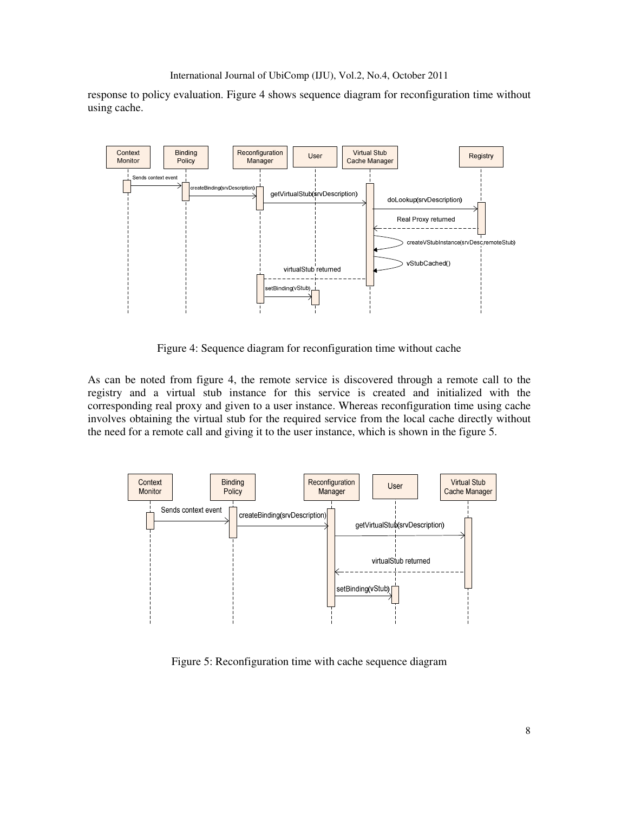```
International Journal of UbiComp (IJU), Vol.2, No.4, October 2011
```
response to policy evaluation. Figure 4 shows sequence diagram for reconfiguration time without using cache.



Figure 4: Sequence diagram for reconfiguration time without cache

As can be noted from figure 4, the remote service is discovered through a remote call to the registry and a virtual stub instance for this service is created and initialized with the corresponding real proxy and given to a user instance. Whereas reconfiguration time using cache involves obtaining the virtual stub for the required service from the local cache directly without the need for a remote call and giving it to the user instance, which is shown in the figure 5.



Figure 5: Reconfiguration time with cache sequence diagram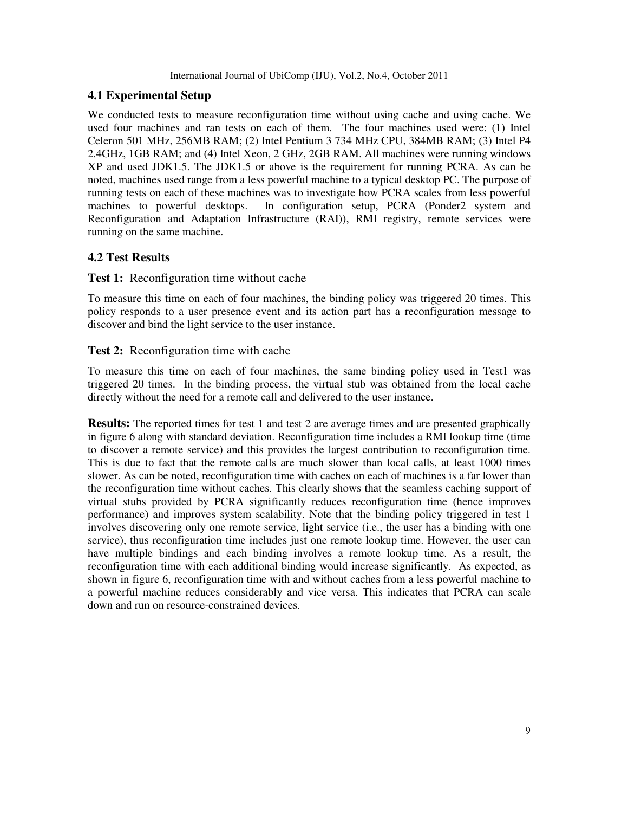# **4.1 Experimental Setup**

We conducted tests to measure reconfiguration time without using cache and using cache. We used four machines and ran tests on each of them. The four machines used were: (1) Intel Celeron 501 MHz, 256MB RAM; (2) Intel Pentium 3 734 MHz CPU, 384MB RAM; (3) Intel P4 2.4GHz, 1GB RAM; and (4) Intel Xeon, 2 GHz, 2GB RAM. All machines were running windows XP and used JDK1.5. The JDK1.5 or above is the requirement for running PCRA. As can be noted, machines used range from a less powerful machine to a typical desktop PC. The purpose of running tests on each of these machines was to investigate how PCRA scales from less powerful machines to powerful desktops. In configuration setup, PCRA (Ponder2 system and Reconfiguration and Adaptation Infrastructure (RAI)), RMI registry, remote services were running on the same machine.

# **4.2 Test Results**

### **Test 1:** Reconfiguration time without cache

To measure this time on each of four machines, the binding policy was triggered 20 times. This policy responds to a user presence event and its action part has a reconfiguration message to discover and bind the light service to the user instance.

### **Test 2:** Reconfiguration time with cache

To measure this time on each of four machines, the same binding policy used in Test1 was triggered 20 times. In the binding process, the virtual stub was obtained from the local cache directly without the need for a remote call and delivered to the user instance.

**Results:** The reported times for test 1 and test 2 are average times and are presented graphically in figure 6 along with standard deviation. Reconfiguration time includes a RMI lookup time (time to discover a remote service) and this provides the largest contribution to reconfiguration time. This is due to fact that the remote calls are much slower than local calls, at least 1000 times slower. As can be noted, reconfiguration time with caches on each of machines is a far lower than the reconfiguration time without caches. This clearly shows that the seamless caching support of virtual stubs provided by PCRA significantly reduces reconfiguration time (hence improves performance) and improves system scalability. Note that the binding policy triggered in test 1 involves discovering only one remote service, light service (i.e., the user has a binding with one service), thus reconfiguration time includes just one remote lookup time. However, the user can have multiple bindings and each binding involves a remote lookup time. As a result, the reconfiguration time with each additional binding would increase significantly. As expected, as shown in figure 6, reconfiguration time with and without caches from a less powerful machine to a powerful machine reduces considerably and vice versa. This indicates that PCRA can scale down and run on resource-constrained devices.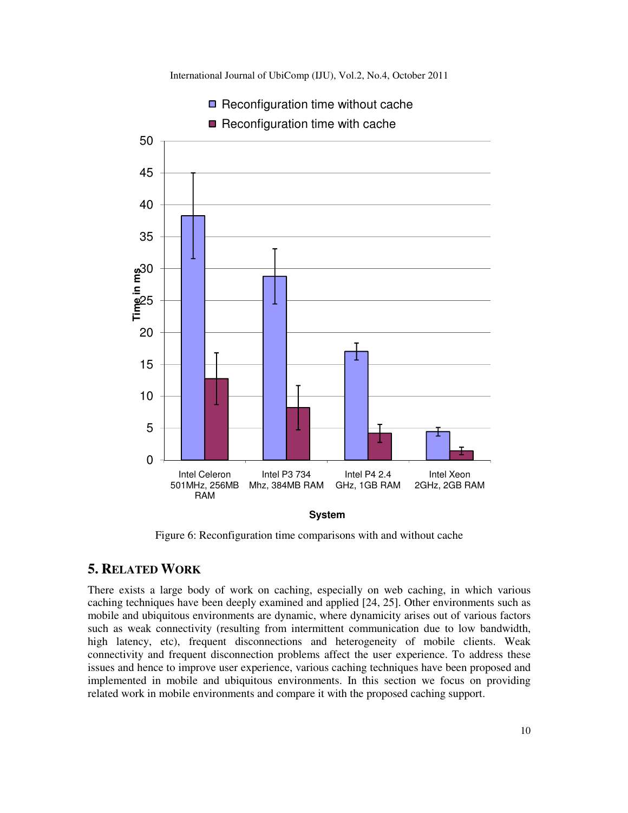

Figure 6: Reconfiguration time comparisons with and without cache

# **5. RELATED WORK**

There exists a large body of work on caching, especially on web caching, in which various caching techniques have been deeply examined and applied [24, 25]. Other environments such as mobile and ubiquitous environments are dynamic, where dynamicity arises out of various factors such as weak connectivity (resulting from intermittent communication due to low bandwidth, high latency, etc), frequent disconnections and heterogeneity of mobile clients. Weak connectivity and frequent disconnection problems affect the user experience. To address these issues and hence to improve user experience, various caching techniques have been proposed and implemented in mobile and ubiquitous environments. In this section we focus on providing related work in mobile environments and compare it with the proposed caching support.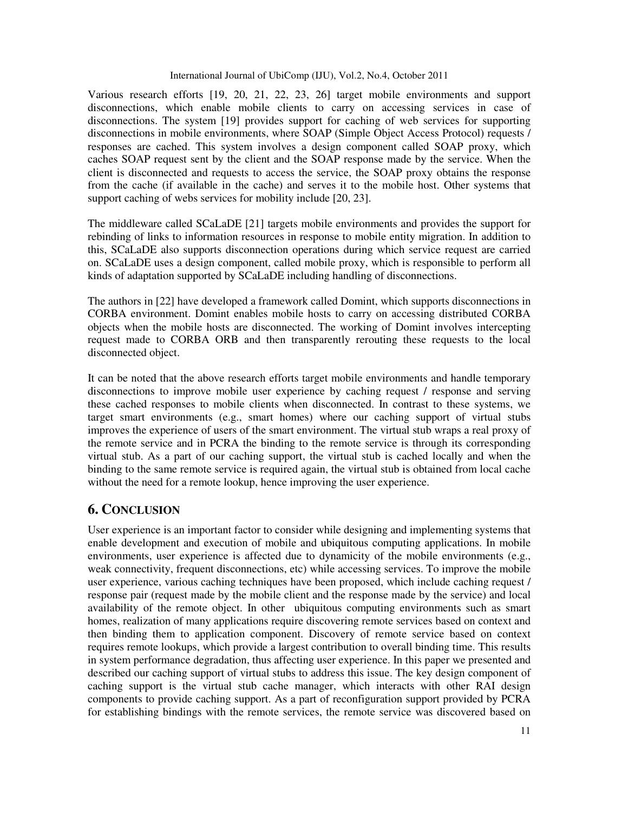Various research efforts [19, 20, 21, 22, 23, 26] target mobile environments and support disconnections, which enable mobile clients to carry on accessing services in case of disconnections. The system [19] provides support for caching of web services for supporting disconnections in mobile environments, where SOAP (Simple Object Access Protocol) requests / responses are cached. This system involves a design component called SOAP proxy, which caches SOAP request sent by the client and the SOAP response made by the service. When the client is disconnected and requests to access the service, the SOAP proxy obtains the response from the cache (if available in the cache) and serves it to the mobile host. Other systems that support caching of webs services for mobility include [20, 23].

The middleware called SCaLaDE [21] targets mobile environments and provides the support for rebinding of links to information resources in response to mobile entity migration. In addition to this, SCaLaDE also supports disconnection operations during which service request are carried on. SCaLaDE uses a design component, called mobile proxy, which is responsible to perform all kinds of adaptation supported by SCaLaDE including handling of disconnections.

The authors in [22] have developed a framework called Domint, which supports disconnections in CORBA environment. Domint enables mobile hosts to carry on accessing distributed CORBA objects when the mobile hosts are disconnected. The working of Domint involves intercepting request made to CORBA ORB and then transparently rerouting these requests to the local disconnected object.

It can be noted that the above research efforts target mobile environments and handle temporary disconnections to improve mobile user experience by caching request / response and serving these cached responses to mobile clients when disconnected. In contrast to these systems, we target smart environments (e.g., smart homes) where our caching support of virtual stubs improves the experience of users of the smart environment. The virtual stub wraps a real proxy of the remote service and in PCRA the binding to the remote service is through its corresponding virtual stub. As a part of our caching support, the virtual stub is cached locally and when the binding to the same remote service is required again, the virtual stub is obtained from local cache without the need for a remote lookup, hence improving the user experience.

# **6. CONCLUSION**

User experience is an important factor to consider while designing and implementing systems that enable development and execution of mobile and ubiquitous computing applications. In mobile environments, user experience is affected due to dynamicity of the mobile environments (e.g., weak connectivity, frequent disconnections, etc) while accessing services. To improve the mobile user experience, various caching techniques have been proposed, which include caching request / response pair (request made by the mobile client and the response made by the service) and local availability of the remote object. In other ubiquitous computing environments such as smart homes, realization of many applications require discovering remote services based on context and then binding them to application component. Discovery of remote service based on context requires remote lookups, which provide a largest contribution to overall binding time. This results in system performance degradation, thus affecting user experience. In this paper we presented and described our caching support of virtual stubs to address this issue. The key design component of caching support is the virtual stub cache manager, which interacts with other RAI design components to provide caching support. As a part of reconfiguration support provided by PCRA for establishing bindings with the remote services, the remote service was discovered based on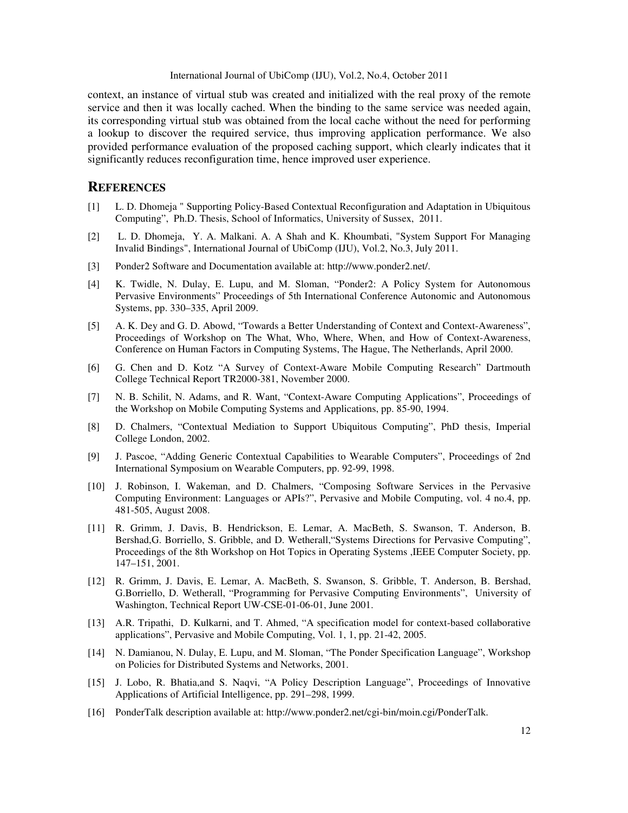context, an instance of virtual stub was created and initialized with the real proxy of the remote service and then it was locally cached. When the binding to the same service was needed again, its corresponding virtual stub was obtained from the local cache without the need for performing a lookup to discover the required service, thus improving application performance. We also provided performance evaluation of the proposed caching support, which clearly indicates that it significantly reduces reconfiguration time, hence improved user experience.

### **REFERENCES**

- [1] L. D. Dhomeja " Supporting Policy-Based Contextual Reconfiguration and Adaptation in Ubiquitous Computing", Ph.D. Thesis, School of Informatics, University of Sussex, 2011.
- [2] L. D. Dhomeja, Y. A. Malkani. A. A Shah and K. Khoumbati, "System Support For Managing Invalid Bindings", International Journal of UbiComp (IJU), Vol.2, No.3, July 2011.
- [3] Ponder2 Software and Documentation available at: http://www.ponder2.net/.
- [4] K. Twidle, N. Dulay, E. Lupu, and M. Sloman, "Ponder2: A Policy System for Autonomous Pervasive Environments" Proceedings of 5th International Conference Autonomic and Autonomous Systems, pp. 330–335, April 2009.
- [5] A. K. Dey and G. D. Abowd, "Towards a Better Understanding of Context and Context-Awareness", Proceedings of Workshop on The What, Who, Where, When, and How of Context-Awareness, Conference on Human Factors in Computing Systems, The Hague, The Netherlands, April 2000.
- [6] G. Chen and D. Kotz "A Survey of Context-Aware Mobile Computing Research" Dartmouth College Technical Report TR2000-381, November 2000.
- [7] N. B. Schilit, N. Adams, and R. Want, "Context-Aware Computing Applications", Proceedings of the Workshop on Mobile Computing Systems and Applications, pp. 85-90, 1994.
- [8] D. Chalmers, "Contextual Mediation to Support Ubiquitous Computing", PhD thesis, Imperial College London, 2002.
- [9] J. Pascoe, "Adding Generic Contextual Capabilities to Wearable Computers", Proceedings of 2nd International Symposium on Wearable Computers, pp. 92-99, 1998.
- [10] J. Robinson, I. Wakeman, and D. Chalmers, "Composing Software Services in the Pervasive Computing Environment: Languages or APIs?", Pervasive and Mobile Computing, vol. 4 no.4, pp. 481-505, August 2008.
- [11] R. Grimm, J. Davis, B. Hendrickson, E. Lemar, A. MacBeth, S. Swanson, T. Anderson, B. Bershad,G. Borriello, S. Gribble, and D. Wetherall,"Systems Directions for Pervasive Computing", Proceedings of the 8th Workshop on Hot Topics in Operating Systems ,IEEE Computer Society, pp. 147–151, 2001.
- [12] R. Grimm, J. Davis, E. Lemar, A. MacBeth, S. Swanson, S. Gribble, T. Anderson, B. Bershad, G.Borriello, D. Wetherall, "Programming for Pervasive Computing Environments", University of Washington, Technical Report UW-CSE-01-06-01, June 2001.
- [13] A.R. Tripathi, D. Kulkarni, and T. Ahmed, "A specification model for context-based collaborative applications", Pervasive and Mobile Computing, Vol. 1, 1, pp. 21-42, 2005.
- [14] N. Damianou, N. Dulay, E. Lupu, and M. Sloman, "The Ponder Specification Language", Workshop on Policies for Distributed Systems and Networks, 2001.
- [15] J. Lobo, R. Bhatia,and S. Naqvi, "A Policy Description Language", Proceedings of Innovative Applications of Artificial Intelligence, pp. 291–298, 1999.
- [16] PonderTalk description available at: http://www.ponder2.net/cgi-bin/moin.cgi/PonderTalk.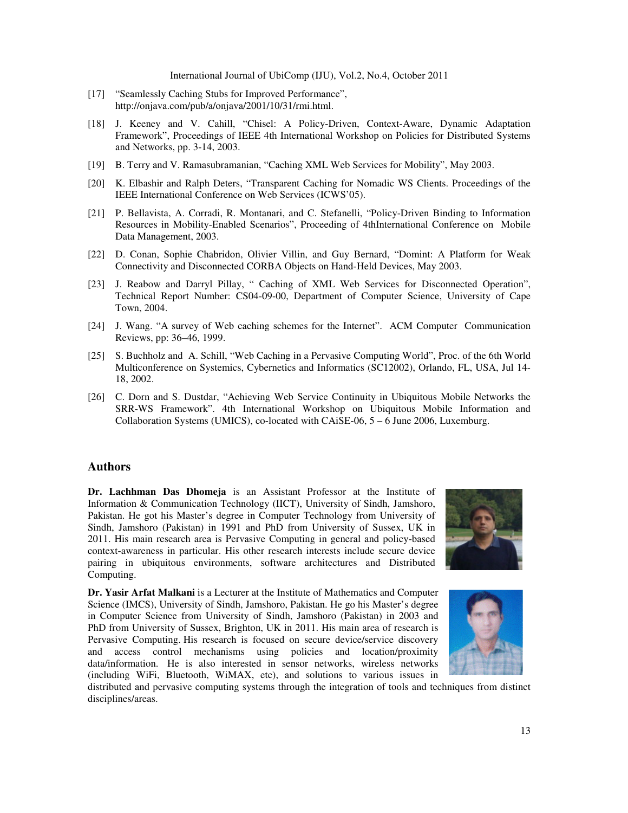- [17] "Seamlessly Caching Stubs for Improved Performance", http://onjava.com/pub/a/onjava/2001/10/31/rmi.html.
- [18] J. Keeney and V. Cahill, "Chisel: A Policy-Driven, Context-Aware, Dynamic Adaptation Framework", Proceedings of IEEE 4th International Workshop on Policies for Distributed Systems and Networks, pp. 3-14, 2003.
- [19] B. Terry and V. Ramasubramanian, "Caching XML Web Services for Mobility", May 2003.
- [20] K. Elbashir and Ralph Deters, "Transparent Caching for Nomadic WS Clients. Proceedings of the IEEE International Conference on Web Services (ICWS'05).
- [21] P. Bellavista, A. Corradi, R. Montanari, and C. Stefanelli, "Policy-Driven Binding to Information Resources in Mobility-Enabled Scenarios", Proceeding of 4thInternational Conference on Mobile Data Management, 2003.
- [22] D. Conan, Sophie Chabridon, Olivier Villin, and Guy Bernard, "Domint: A Platform for Weak Connectivity and Disconnected CORBA Objects on Hand-Held Devices, May 2003.
- [23] J. Reabow and Darryl Pillay, " Caching of XML Web Services for Disconnected Operation", Technical Report Number: CS04-09-00, Department of Computer Science, University of Cape Town, 2004.
- [24] J. Wang. "A survey of Web caching schemes for the Internet". ACM Computer Communication Reviews, pp: 36–46, 1999.
- [25] S. Buchholz and A. Schill, "Web Caching in a Pervasive Computing World", Proc. of the 6th World Multiconference on Systemics, Cybernetics and Informatics (SC12002), Orlando, FL, USA, Jul 14- 18, 2002.
- [26] C. Dorn and S. Dustdar, "Achieving Web Service Continuity in Ubiquitous Mobile Networks the SRR-WS Framework". 4th International Workshop on Ubiquitous Mobile Information and Collaboration Systems (UMICS), co-located with CAiSE-06, 5 – 6 June 2006, Luxemburg.

### **Authors**

**Dr. Lachhman Das Dhomeja** is an Assistant Professor at the Institute of Information & Communication Technology (IICT), University of Sindh, Jamshoro, Pakistan. He got his Master's degree in Computer Technology from University of Sindh, Jamshoro (Pakistan) in 1991 and PhD from University of Sussex, UK in 2011. His main research area is Pervasive Computing in general and policy-based context-awareness in particular. His other research interests include secure device pairing in ubiquitous environments, software architectures and Distributed Computing.

**Dr. Yasir Arfat Malkani** is a Lecturer at the Institute of Mathematics and Computer Science (IMCS), University of Sindh, Jamshoro, Pakistan. He go his Master's degree in Computer Science from University of Sindh, Jamshoro (Pakistan) in 2003 and PhD from University of Sussex, Brighton, UK in 2011. His main area of research is Pervasive Computing. His research is focused on secure device/service discovery and access control mechanisms using policies and location/proximity data/information. He is also interested in sensor networks, wireless networks (including WiFi, Bluetooth, WiMAX, etc), and solutions to various issues in





distributed and pervasive computing systems through the integration of tools and techniques from distinct disciplines/areas.